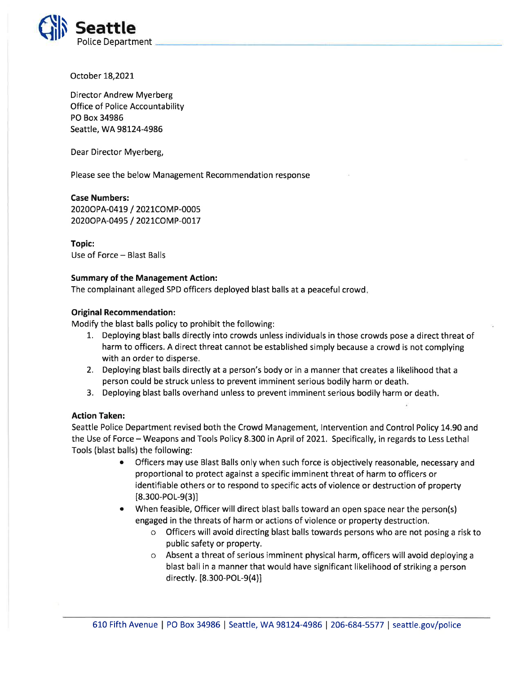

October I8,202L

Director Andrew Myerberg Office of Police Accountability PO Box 34986 Seattle, WA 98124-4986

Dear Director Myerberg,

Please see the below Management Recommendation response

Case Numbers:

20200 PA-0419 / 2021 COMP-0005 2020OPA-0495 / 2021COMP-0017

Topic: Use of Force - Blast Balls

## Summary of the Management Action:

The complainant alleged SPD officers deployed blast balls at a peaceful crowd

## Original Recommendation:

Modify the blast balls policy to prohibit the following:

- 7. Deploying blast balls directly into crowds unless individuals in those crowds pose a direct threat of harm to officers. A direct threat cannot be established simply because a crowd is not complying with an order to disperse,
- 2. Deploying blast balls directly at a person's body or in a manner that creates a likelihood that <sup>a</sup> person could be struck unless to prevent imminent serious bodily harm or death.
- 3. Deploying blast balls overhand unless to prevent imminent serious bodily harm or death.

## Action Taken:

Seattle Police Department revised both the Crowd Management, Intervention and Control Policy 14.90 and the Use of Force - Weapons and Tools Policy 8.300 in April of 2021. Specifically, in regards to Less Lethal Tools (blast balls) the following:

- Officers may use Blast Balls only when such force is objectively reasonable, necessary and proportional to protect against a specific imminent threat of harm to officers or identifiable others or to respond to specific acts of violence or destruction of property  $[8.300 - POL - 9(3)]$
- When feasible, Officer will direct blast balls toward an open space near the person(s) engaged in the threats of harm or actions of violence or property destruction.
	- o Officers will avoid directing blast balls towards persons who are not posing a risk to public safety or property.
	- o Absent a threat of serious imminent physical harm, officers will avoid deploying <sup>a</sup> blast ball in a manner that would have significant likelihood of striking a person directly. [8.300-POL-9(4)]